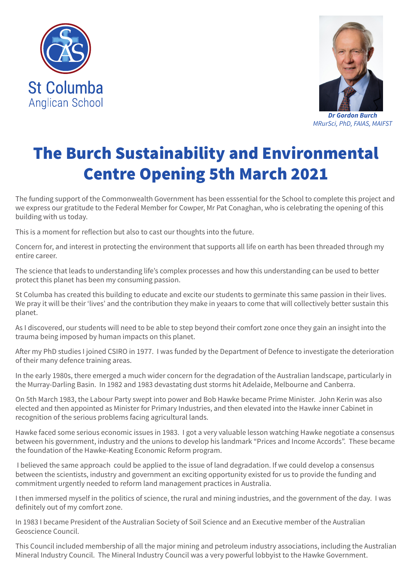



*MRurSci, PhD, FAIAS, MAIFST*

## The Burch Sustainability and Environmental Centre Opening 5th March 2021

The funding support of the Commonwealth Government has been esssential for the School to complete this project and we express our gratitude to the Federal Member for Cowper, Mr Pat Conaghan, who is celebrating the opening of this building with us today.

This is a moment for reflection but also to cast our thoughts into the future.

Concern for, and interest in protecting the environment that supports all life on earth has been threaded through my entire career.

The science that leads to understanding life's complex processes and how this understanding can be used to better protect this planet has been my consuming passion.

St Columba has created this building to educate and excite our students to germinate this same passion in their lives. We pray it will be their 'lives' and the contribution they make in yeaars to come that will collectively better sustain this planet.

As I discovered, our students will need to be able to step beyond their comfort zone once they gain an insight into the trauma being imposed by human impacts on this planet.

After my PhD studies I joined CSIRO in 1977. I was funded by the Department of Defence to investigate the deterioration of their many defence training areas.

In the early 1980s, there emerged a much wider concern for the degradation of the Australian landscape, particularly in the Murray-Darling Basin. In 1982 and 1983 devastating dust storms hit Adelaide, Melbourne and Canberra.

On 5th March 1983, the Labour Party swept into power and Bob Hawke became Prime Minister. John Kerin was also elected and then appointed as Minister for Primary Industries, and then elevated into the Hawke inner Cabinet in recognition of the serious problems facing agricultural lands.

Hawke faced some serious economic issues in 1983. I got a very valuable lesson watching Hawke negotiate a consensus between his government, industry and the unions to develop his landmark "Prices and Income Accords". These became the foundation of the Hawke-Keating Economic Reform program.

 I believed the same approach could be applied to the issue of land degradation. If we could develop a consensus between the scientists, industry and government an exciting opportunity existed for us to provide the funding and commitment urgently needed to reform land management practices in Australia.

I then immersed myself in the politics of science, the rural and mining industries, and the government of the day. I was definitely out of my comfort zone.

In 1983 I became President of the Australian Society of Soil Science and an Executive member of the Australian Geoscience Council.

This Council included membership of all the major mining and petroleum industry associations, including the Australian Mineral Industry Council. The Mineral Industry Council was a very powerful lobbyist to the Hawke Government.